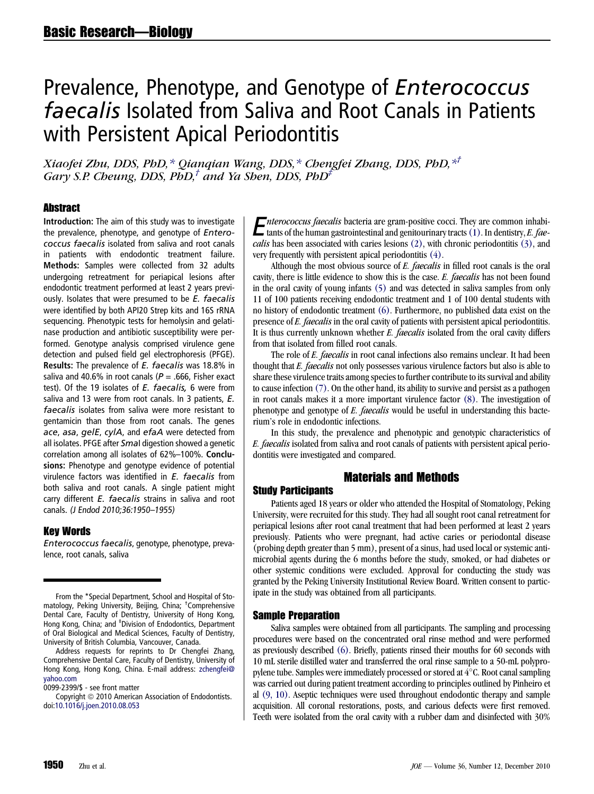# Prevalence, Phenotype, and Genotype of Enterococcus faecalis Isolated from Saliva and Root Canals in Patients with Persistent Apical Periodontitis

Xiaofei Zhu, DDS, PhD,\* Qianqian Wang, DDS,\* Chengfei Zhang, DDS, PhD,\*† Gary S.P. Cheung, DDS, PhD,<sup>†</sup> and Ya Shen, DDS, PhD<sup>‡</sup>

# **Abstract**

Introduction: The aim of this study was to investigate the prevalence, phenotype, and genotype of Enterococcus faecalis isolated from saliva and root canals in patients with endodontic treatment failure. Methods: Samples were collected from 32 adults undergoing retreatment for periapical lesions after endodontic treatment performed at least 2 years previously. Isolates that were presumed to be E. faecalis were identified by both API20 Strep kits and 16S rRNA sequencing. Phenotypic tests for hemolysin and gelatinase production and antibiotic susceptibility were performed. Genotype analysis comprised virulence gene detection and pulsed field gel electrophoresis (PFGE). Results: The prevalence of E. faecalis was 18.8% in saliva and 40.6% in root canals ( $P = .666$ , Fisher exact test). Of the 19 isolates of E. faecalis, 6 were from saliva and 13 were from root canals. In 3 patients, E. faecalis isolates from saliva were more resistant to gentamicin than those from root canals. The genes ace, asa, gelE, cylA, and efaA were detected from all isolates. PFGE after Smal digestion showed a genetic correlation among all isolates of 62%–100%. Conclusions: Phenotype and genotype evidence of potential virulence factors was identified in  $E$ . faecalis from both saliva and root canals. A single patient might carry different E. faecalis strains in saliva and root canals. (J Endod 2010;36:1950–1955)

#### Key Words

Enterococcus faecalis, genotype, phenotype, prevalence, root canals, saliva

From the \*Special Department, School and Hospital of Stomatology, Peking University, Beijing, China; † Comprehensive Dental Care, Faculty of Dentistry, University of Hong Kong, Hong Kong, China; and ‡ Division of Endodontics, Department of Oral Biological and Medical Sciences, Faculty of Dentistry, University of British Columbia, Vancouver, Canada.

Address requests for reprints to Dr Chengfei Zhang, Comprehensive Dental Care, Faculty of Dentistry, University of Hong Kong, Hong Kong, China. E-mail address: [zchengfei@](mailto:zchengfei@yahoo.com) [yahoo.com](mailto:zchengfei@yahoo.com)

0099-2399/\$ - see front matter

Copyright © 2010 American Association of Endodontists. doi[:10.1016/j.joen.2010.08.053](http://dx.doi.org/10.1016/j.joen.2010.08.053)

**E**nterococcus faecalis bacteria are gram-positive cocci. They are common inhabitants of the human gastrointestinal and genitourinary tracts (1). In dentistry, *E. faecalis* has been associated with caries lesions (2), wi tants of the human gastrointestinal and genitourinary tracts [\(1\).](#page-4-0) In dentistry, E. fae-calis has been associated with caries lesions [\(2\)](#page-4-0), with chronic periodontitis [\(3\),](#page-4-0) and very frequently with persistent apical periodontitis [\(4\)](#page-4-0).

Although the most obvious source of E. faecalis in filled root canals is the oral cavity, there is little evidence to show this is the case. E. faecalis has not been found in the oral cavity of young infants [\(5\)](#page-4-0) and was detected in saliva samples from only 11 of 100 patients receiving endodontic treatment and 1 of 100 dental students with no history of endodontic treatment [\(6\)](#page-4-0). Furthermore, no published data exist on the presence of E. faecalis in the oral cavity of patients with persistent apical periodontitis. It is thus currently unknown whether *E. faecalis* isolated from the oral cavity differs from that isolated from filled root canals.

The role of E. faecalis in root canal infections also remains unclear. It had been thought that E. faecalis not only possesses various virulence factors but also is able to share these virulence traits among species to further contribute to its survival and ability to cause infection [\(7\)](#page-4-0). On the other hand, its ability to survive and persist as a pathogen in root canals makes it a more important virulence factor [\(8\).](#page-4-0) The investigation of phenotype and genotype of E. faecalis would be useful in understanding this bacterium's role in endodontic infections.

In this study, the prevalence and phenotypic and genotypic characteristics of E. faecalis isolated from saliva and root canals of patients with persistent apical periodontitis were investigated and compared.

# Materials and Methods

#### Study Participants

Patients aged 18 years or older who attended the Hospital of Stomatology, Peking University, were recruited for this study. They had all sought root canal retreatment for periapical lesions after root canal treatment that had been performed at least 2 years previously. Patients who were pregnant, had active caries or periodontal disease (probing depth greater than 5 mm), present of a sinus, had used local or systemic antimicrobial agents during the 6 months before the study, smoked, or had diabetes or other systemic conditions were excluded. Approval for conducting the study was granted by the Peking University Institutional Review Board. Written consent to participate in the study was obtained from all participants.

# Sample Preparation

Saliva samples were obtained from all participants. The sampling and processing procedures were based on the concentrated oral rinse method and were performed as previously described [\(6\).](#page-4-0) Briefly, patients rinsed their mouths for 60 seconds with 10 mL sterile distilled water and transferred the oral rinse sample to a 50-mL polypropylene tube. Samples were immediately processed or stored at  $4^{\circ}$ C. Root canal sampling was carried out during patient treatment according to principles outlined by Pinheiro et al [\(9, 10\).](#page-4-0) Aseptic techniques were used throughout endodontic therapy and sample acquisition. All coronal restorations, posts, and carious defects were first removed. Teeth were isolated from the oral cavity with a rubber dam and disinfected with 30%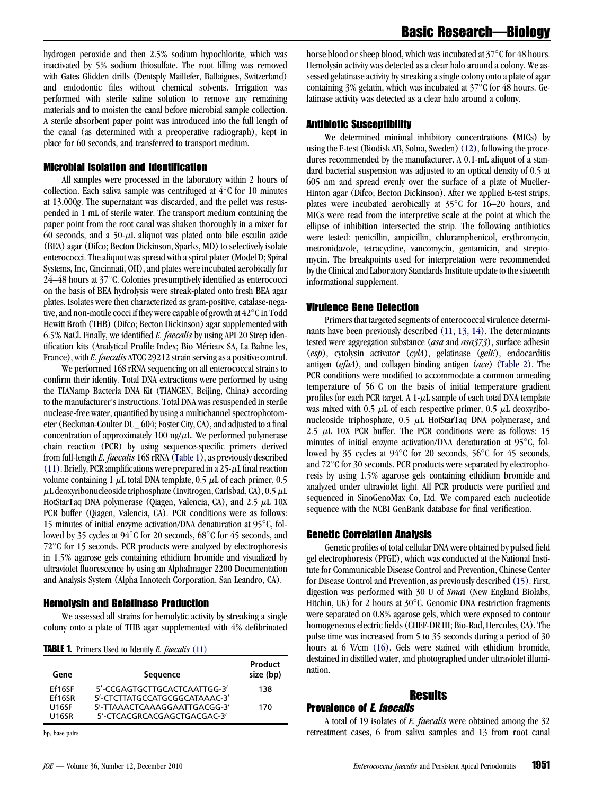hydrogen peroxide and then 2.5% sodium hypochlorite, which was inactivated by 5% sodium thiosulfate. The root filling was removed with Gates Glidden drills (Dentsply Maillefer, Ballaigues, Switzerland) and endodontic files without chemical solvents. Irrigation was performed with sterile saline solution to remove any remaining materials and to moisten the canal before microbial sample collection. A sterile absorbent paper point was introduced into the full length of the canal (as determined with a preoperative radiograph), kept in place for 60 seconds, and transferred to transport medium.

# Microbial Isolation and Identification

All samples were processed in the laboratory within 2 hours of collection. Each saliva sample was centrifuged at  $4^{\circ}$ C for 10 minutes at 13,000g. The supernatant was discarded, and the pellet was resuspended in 1 mL of sterile water. The transport medium containing the paper point from the root canal was shaken thoroughly in a mixer for 60 seconds, and a 50- $\mu$ L aliquot was plated onto bile esculin azide (BEA) agar (Difco; Becton Dickinson, Sparks, MD) to selectively isolate enterococci. The aliquot was spread with a spiral plater (Model D; Spiral Systems, Inc, Cincinnati, OH), and plates were incubated aerobically for 24–48 hours at 37°C. Colonies presumptively identified as enterococci on the basis of BEA hydrolysis were streak-plated onto fresh BEA agar plates. Isolates were then characterized as gram-positive, catalase-negative, and non-motile cocci if they were capable of growth at  $42^{\circ}$ C in Todd Hewitt Broth (THB) (Difco; Becton Dickinson) agar supplemented with 6.5% NaCl. Finally, we identified E. faecalis by using API 20 Strep identification kits (Analytical Profile Index; Bio Mérieux SA, La Balme les, France), with *E. faecalis* ATCC 29212 strain serving as a positive control.

We performed 16S rRNA sequencing on all enterococcal strains to confirm their identity. Total DNA extractions were performed by using the TIANamp Bacteria DNA Kit (TIANGEN, Beijing, China) according to the manufacturer's instructions. Total DNA was resuspended in sterile nuclease-free water, quantified by using a multichannel spectrophotometer (Beckman-Coulter DU\_ 604; Foster City, CA), and adjusted to a final concentration of approximately 100 ng/ $\mu$ L. We performed polymerase chain reaction (PCR) by using sequence-specific primers derived from full-length E. faecalis 16S rRNA (Table 1), as previously described [\(11\)](#page-4-0). Briefly, PCR amplifications were prepared in a  $25-\mu$ L final reaction volume containing 1  $\mu$ L total DNA template, 0.5  $\mu$ L of each primer, 0.5  $\mu$ L deoxyribonucleoside triphosphate (Invitrogen, Carlsbad, CA), 0.5 $\mu$ L HotStarTaq DNA polymerase (Qiagen, Valencia, CA), and  $2.5 \mu L$  10X PCR buffer (Qiagen, Valencia, CA). PCR conditions were as follows: 15 minutes of initial enzyme activation/DNA denaturation at  $95^{\circ}$ C, followed by 35 cycles at 94°C for 20 seconds, 68°C for 45 seconds, and  $72^{\circ}$ C for 15 seconds. PCR products were analyzed by electrophoresis in 1.5% agarose gels containing ethidium bromide and visualized by ultraviolet fluorescence by using an AlphaImager 2200 Documentation and Analysis System (Alpha Innotech Corporation, San Leandro, CA).

## Hemolysin and Gelatinase Production

We assessed all strains for hemolytic activity by streaking a single colony onto a plate of THB agar supplemented with 4% defibrinated

**TABLE 1.** Primers Used to Identify *E. faecalis* [\(11\)](#page-4-0)

| Gene         | <b>Sequence</b>               | Product<br>size (bp) |
|--------------|-------------------------------|----------------------|
| Ef16SF       | 5'-CCGAGTGCTTGCACTCAATTGG-3'  | 138                  |
| Ff16SR       | 5'-CTCTTATGCCATGCGGCATAAAC-3' |                      |
| <b>U16SF</b> | 5'-TTAAACTCAAAGGAATTGACGG-3'  | 170                  |
| <b>U16SR</b> | 5'-CTCACGRCACGAGCTGACGAC-3'   |                      |
|              |                               |                      |

bp, base pairs.

### Antibiotic Susceptibility

We determined minimal inhibitory concentrations (MICs) by using the E-test (Biodisk AB, Solna, Sweden) [\(12\)](#page-4-0), following the procedures recommended by the manufacturer. A 0.1-mL aliquot of a standard bacterial suspension was adjusted to an optical density of 0.5 at 605 nm and spread evenly over the surface of a plate of Mueller-Hinton agar (Difco; Becton Dickinson). After we applied E-test strips, plates were incubated aerobically at  $35^{\circ}$ C for 16–20 hours, and MICs were read from the interpretive scale at the point at which the ellipse of inhibition intersected the strip. The following antibiotics were tested: penicillin, ampicillin, chloramphenicol, erythromycin, metronidazole, tetracycline, vancomycin, gentamicin, and streptomycin. The breakpoints used for interpretation were recommended by the Clinical and Laboratory Standards Institute update to the sixteenth informational supplement.

#### Virulence Gene Detection

Primers that targeted segments of enterococcal virulence determinants have been previously described [\(11, 13, 14\)](#page-4-0). The determinants tested were aggregation substance (asa and asa373), surface adhesin  $(esp)$ , cytolysin activator  $(cy/A)$ , gelatinase  $(gelE)$ , endocarditis antigen  $(efaA)$ , and collagen binding antigen  $(ace)$  ([Table 2\)](#page-2-0). The PCR conditions were modified to accommodate a common annealing temperature of  $56^{\circ}$ C on the basis of initial temperature gradient profiles for each PCR target. A  $1-\mu L$  sample of each total DNA template was mixed with 0.5  $\mu$ L of each respective primer, 0.5  $\mu$ L deoxyribonucleoside triphosphate,  $0.5 \mu L$  HotStarTaq DNA polymerase, and 2.5  $\mu$ L 10X PCR buffer. The PCR conditions were as follows: 15 minutes of initial enzyme activation/DNA denaturation at  $95^{\circ}$ C, followed by 35 cycles at  $94^{\circ}$ C for 20 seconds, 56 $^{\circ}$ C for 45 seconds, and  $72^{\circ}$ C for 30 seconds. PCR products were separated by electrophoresis by using 1.5% agarose gels containing ethidium bromide and analyzed under ultraviolet light. All PCR products were purified and sequenced in SinoGenoMax Co, Ltd. We compared each nucleotide sequence with the NCBI GenBank database for final verification.

### Genetic Correlation Analysis

Genetic profiles of total cellular DNA were obtained by pulsed field gel electrophoresis (PFGE), which was conducted at the National Institute for Communicable Disease Control and Prevention, Chinese Center for Disease Control and Prevention, as previously described [\(15\)](#page-4-0). First, digestion was performed with 30 U of SmaI (New England Biolabs, Hitchin, UK) for 2 hours at  $30^{\circ}$ C. Genomic DNA restriction fragments were separated on 0.8% agarose gels, which were exposed to contour homogeneous electric fields (CHEF-DR III; Bio-Rad, Hercules, CA). The pulse time was increased from 5 to 35 seconds during a period of 30 hours at 6 V/cm [\(16\).](#page-4-0) Gels were stained with ethidium bromide, destained in distilled water, and photographed under ultraviolet illumination.

# Results

# Prevalence of E. faecalis

A total of 19 isolates of E. faecalis were obtained among the 32 retreatment cases, 6 from saliva samples and 13 from root canal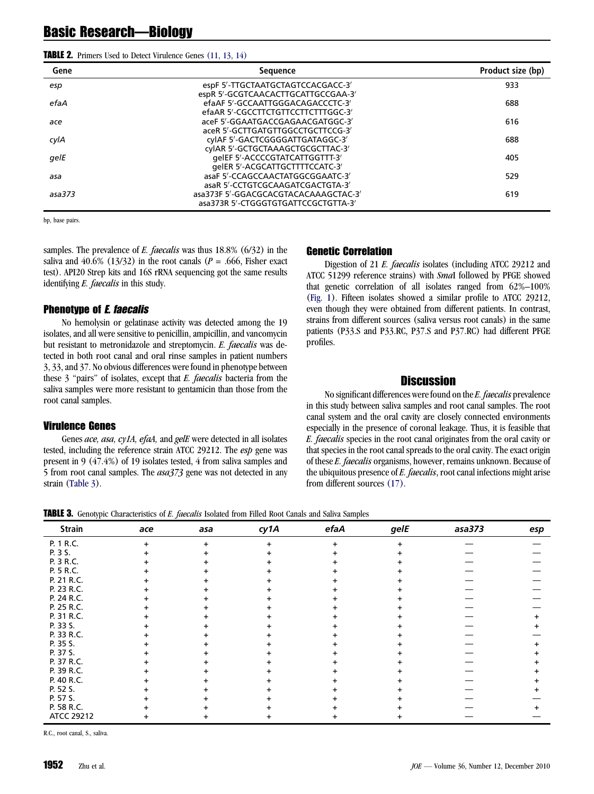<span id="page-2-0"></span>

| <b>TABLE 2.</b> Primers Used to Detect Virulence Genes (11, 13, 14) |  |  |  |  |  |  |  |
|---------------------------------------------------------------------|--|--|--|--|--|--|--|
|---------------------------------------------------------------------|--|--|--|--|--|--|--|

| Gene   | <b>Sequence</b>                      | Product size (bp) |
|--------|--------------------------------------|-------------------|
| esp    | espF 5'-TTGCTAATGCTAGTCCACGACC-3'    | 933               |
|        | espR 5'-GCGTCAACACTTGCATTGCCGAA-3'   |                   |
| efaA   | efaAF 5'-GCCAATTGGGACAGACCCTC-3'     | 688               |
|        | efaAR 5'-CGCCTTCTGTTCCTTCTTTGGC-3'   |                   |
| ace    | aceF 5'-GGAATGACCGAGAACGATGGC-3'     | 616               |
|        | aceR 5'-GCTTGATGTTGGCCTGCTTCCG-3'    |                   |
| cylA   | cylAF 5'-GACTCGGGGATTGATAGGC-3'      | 688               |
|        | cylAR 5'-GCTGCTAAAGCTGCGCTTAC-3'     |                   |
| gelE   | qelEF 5'-ACCCCGTATCATTGGTTT-3'       | 405               |
|        | qelER 5'-ACGCATTGCTTTTCCATC-3'       |                   |
| asa    | asaF 5'-CCAGCCAACTATGGCGGAATC-3'     | 529               |
|        | asaR 5'-CCTGTCGCAAGATCGACTGTA-3'     |                   |
| asa373 | asa373F 5'-GGACGCACGTACACAAAGCTAC-3' | 619               |
|        | asa373R 5'-CTGGGTGTGATTCCGCTGTTA-3'  |                   |

bp, base pairs.

samples. The prevalence of E. faecalis was thus  $18.8\%$  (6/32) in the saliva and  $40.6\%$  (13/32) in the root canals ( $P = .666$ , Fisher exact test). API20 Strep kits and 16S rRNA sequencing got the same results identifying *E. faecalis* in this study.

## Phenotype of E. faecalis

No hemolysin or gelatinase activity was detected among the 19 isolates, and all were sensitive to penicillin, ampicillin, and vancomycin but resistant to metronidazole and streptomycin. E. faecalis was detected in both root canal and oral rinse samples in patient numbers 3, 33, and 37. No obvious differences were found in phenotype between these 3 ''pairs'' of isolates, except that E. faecalis bacteria from the saliva samples were more resistant to gentamicin than those from the root canal samples.

#### Virulence Genes

Genes *ace, asa, cy1A, efaA, and gelE* were detected in all isolates tested, including the reference strain ATCC 29212. The *esp* gene was present in 9 (47.4%) of 19 isolates tested, 4 from saliva samples and 5 from root canal samples. The asa373 gene was not detected in any strain (Table 3).

#### Genetic Correlation

Digestion of 21 E. faecalis isolates (including ATCC 29212 and ATCC 51299 reference strains) with SmaI followed by PFGE showed that genetic correlation of all isolates ranged from 62%–100% ([Fig. 1](#page-3-0)). Fifteen isolates showed a similar profile to ATCC 29212, even though they were obtained from different patients. In contrast, strains from different sources (saliva versus root canals) in the same patients (P33.S and P33.RC, P37.S and P37.RC) had different PFGE profiles.

# **Discussion**

No significant differences were found on the E. faecalis prevalence in this study between saliva samples and root canal samples. The root canal system and the oral cavity are closely connected environments especially in the presence of coronal leakage. Thus, it is feasible that E. faecalis species in the root canal originates from the oral cavity or that species in the root canal spreads to the oral cavity. The exact origin of these E. faecalis organisms, however, remains unknown. Because of the ubiquitous presence of E. faecalis, root canal infections might arise from different sources [\(17\).](#page-4-0)

**TABLE 3.** Genotypic Characteristics of E. faecalis Isolated from Filled Root Canals and Saliva Samples

| <b>Strain</b> | ace       | asa | cy1A | efaA      | gelE | asa373 | esp |
|---------------|-----------|-----|------|-----------|------|--------|-----|
| P. 1 R.C.     | $\ddot{}$ | ÷   | +    | $\ddot{}$ |      |        |     |
| P. 3 S.       |           |     |      |           |      |        |     |
| P. 3 R.C.     |           |     |      |           |      |        |     |
| P. 5 R.C.     |           |     |      |           |      |        |     |
| P. 21 R.C.    |           |     |      |           |      |        |     |
| P. 23 R.C.    |           |     |      |           |      |        |     |
| P. 24 R.C.    |           |     |      |           |      |        |     |
| P. 25 R.C.    |           |     |      |           |      |        |     |
| P. 31 R.C.    |           |     |      |           |      |        |     |
| P. 33 S.      |           |     |      |           |      |        |     |
| P. 33 R.C.    |           |     |      |           |      |        |     |
| P. 35 S.      |           |     |      |           |      |        |     |
| P. 37 S.      |           |     |      |           |      |        |     |
| P. 37 R.C.    |           |     |      |           |      |        |     |
| P. 39 R.C.    | ٠         |     |      |           |      |        |     |
| P. 40 R.C.    |           |     |      |           |      |        |     |
| P. 52 S.      |           |     |      |           |      |        |     |
| P. 57 S.      |           |     |      |           |      |        |     |
| P. 58 R.C.    |           |     |      |           |      |        |     |
| ATCC 29212    | +         |     |      |           |      |        |     |

R.C., root canal, S., saliva.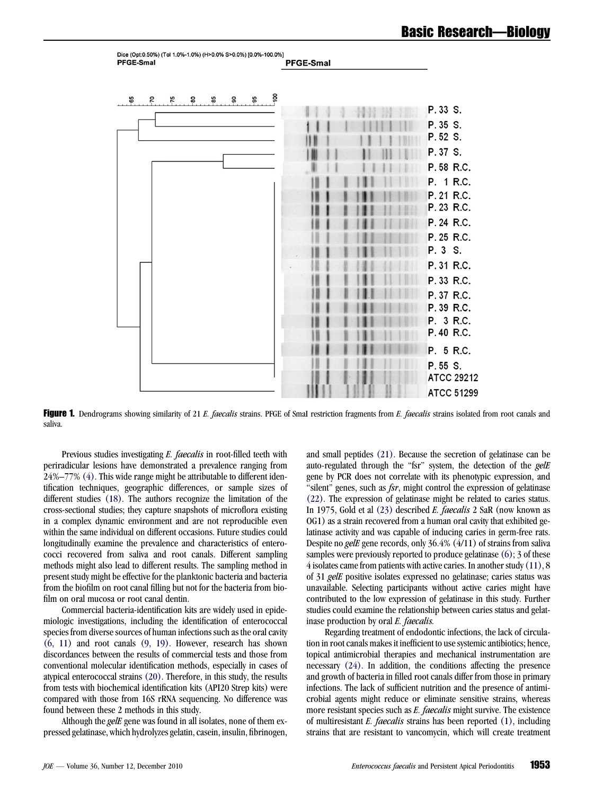<span id="page-3-0"></span>

| Dice (Opt:0.50%) (Tol 1.0%-1.0%) (H>0.0% S>0.0%) [0.0%-100.0%]<br><b>PFGE-Smal</b> | <b>PFGE-Smal</b> |                   |
|------------------------------------------------------------------------------------|------------------|-------------------|
| $-100$<br>$-95$<br>မိ<br>$-80$<br>$-85$<br>$\frac{8}{3}$<br>$-70$<br>$-75$         |                  | P. 33 S.          |
|                                                                                    |                  | P. 35 S.          |
|                                                                                    |                  | P.52 S.           |
|                                                                                    |                  | P.37 S.           |
|                                                                                    |                  | P.58 R.C.         |
|                                                                                    |                  | P. 1 R.C.         |
|                                                                                    |                  | P. 21 R.C.        |
|                                                                                    |                  | P. 23 R.C.        |
|                                                                                    |                  | P. 24 R.C.        |
|                                                                                    |                  | P. 25 R.C.        |
|                                                                                    |                  | P. 3 S.           |
|                                                                                    |                  | P. 31 R.C.        |
|                                                                                    |                  | P. 33 R.C.        |
|                                                                                    |                  | P. 37 R.C.        |
|                                                                                    |                  | P. 39 R.C.        |
|                                                                                    |                  | P. 3 R.C.         |
|                                                                                    |                  | P.40 R.C.         |
|                                                                                    |                  | P. 5 R.C.         |
|                                                                                    |                  | P.55 S.           |
|                                                                                    |                  | <b>ATCC 29212</b> |
|                                                                                    |                  | <b>ATCC 51299</b> |

Figure 1. Dendrograms showing similarity of 21 E. faecalis strains. PFGE of SmaI restriction fragments from E. faecalis strains isolated from root canals and saliva.

Previous studies investigating *E. faecalis* in root-filled teeth with periradicular lesions have demonstrated a prevalence ranging from 24%–77% [\(4\)](#page-4-0). This wide range might be attributable to different identification techniques, geographic differences, or sample sizes of different studies [\(18\)](#page-4-0). The authors recognize the limitation of the cross-sectional studies; they capture snapshots of microflora existing in a complex dynamic environment and are not reproducible even within the same individual on different occasions. Future studies could longitudinally examine the prevalence and characteristics of enterococci recovered from saliva and root canals. Different sampling methods might also lead to different results. The sampling method in present study might be effective for the planktonic bacteria and bacteria from the biofilm on root canal filling but not for the bacteria from biofilm on oral mucosa or root canal dentin.

Commercial bacteria-identification kits are widely used in epidemiologic investigations, including the identification of enterococcal species from diverse sources of human infections such as the oral cavity [\(6, 11\)](#page-4-0) and root canals [\(9, 19\)](#page-4-0). However, research has shown discordances between the results of commercial tests and those from conventional molecular identification methods, especially in cases of atypical enterococcal strains [\(20\).](#page-4-0) Therefore, in this study, the results from tests with biochemical identification kits (API20 Strep kits) were compared with those from 16S rRNA sequencing. No difference was found between these 2 methods in this study.

Although the *gelE* gene was found in all isolates, none of them expressed gelatinase, which hydrolyzes gelatin, casein, insulin, fibrinogen, and small peptides [\(21\)](#page-4-0). Because the secretion of gelatinase can be auto-regulated through the "fsr" system, the detection of the gelE gene by PCR does not correlate with its phenotypic expression, and "silent" genes, such as  $fsr$ , might control the expression of gelatinase [\(22\).](#page-4-0) The expression of gelatinase might be related to caries status. In 1975, Gold et al [\(23\)](#page-4-0) described E. faecalis 2 SaR (now known as OG1) as a strain recovered from a human oral cavity that exhibited gelatinase activity and was capable of inducing caries in germ-free rats. Despite no gelE gene records, only 36.4% (4/11) of strains from saliva samples were previously reported to produce gelatinase [\(6\)](#page-4-0); 3 of these 4 isolates came from patients with active caries. In another study[\(11\),](#page-4-0) 8 of 31 gelE positive isolates expressed no gelatinase; caries status was unavailable. Selecting participants without active caries might have contributed to the low expression of gelatinase in this study. Further studies could examine the relationship between caries status and gelatinase production by oral E. faecalis.

Regarding treatment of endodontic infections, the lack of circulation in root canals makes it inefficient to use systemic antibiotics; hence, topical antimicrobial therapies and mechanical instrumentation are necessary [\(24\).](#page-4-0) In addition, the conditions affecting the presence and growth of bacteria in filled root canals differ from those in primary infections. The lack of sufficient nutrition and the presence of antimicrobial agents might reduce or eliminate sensitive strains, whereas more resistant species such as E. faecalis might survive. The existence of multiresistant  $E$ . *faecalis* strains has been reported  $(1)$ , including strains that are resistant to vancomycin, which will create treatment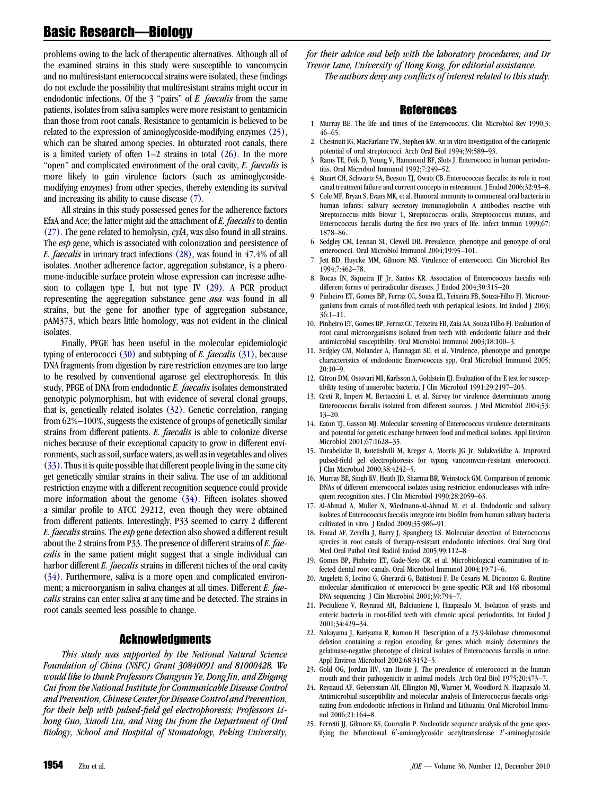# <span id="page-4-0"></span>Basic Research—Biology

problems owing to the lack of therapeutic alternatives. Although all of the examined strains in this study were susceptible to vancomycin and no multiresistant enterococcal strains were isolated, these findings do not exclude the possibility that multiresistant strains might occur in endodontic infections. Of the 3 "pairs" of E. faecalis from the same patients, isolates from saliva samples were more resistant to gentamicin than those from root canals. Resistance to gentamicin is believed to be related to the expression of aminoglycoside-modifying enzymes (25), which can be shared among species. In obturated root canals, there is a limited variety of often  $1-2$  strains in total  $(26)$ . In the more "open" and complicated environment of the oral cavity, E. faecalis is more likely to gain virulence factors (such as aminoglycosidemodifying enzymes) from other species, thereby extending its survival and increasing its ability to cause disease (7).

All strains in this study possessed genes for the adherence factors EfaA and Ace; the latter might aid the attachment of E. faecalis to dentin  $(27)$ . The gene related to hemolysin, *cylA*, was also found in all strains. The *esp* gene, which is associated with colonization and persistence of E. faecalis in urinary tract infections [\(28\)](#page-5-0), was found in 47.4% of all isolates. Another adherence factor, aggregation substance, is a pheromone-inducible surface protein whose expression can increase adhesion to collagen type I, but not type IV [\(29\)](#page-5-0). A PCR product representing the aggregation substance gene asa was found in all strains, but the gene for another type of aggregation substance, pAM373, which bears little homology, was not evident in the clinical isolates.

Finally, PFGE has been useful in the molecular epidemiologic typing of enterococci  $(30)$  and subtyping of E. faecalis  $(31)$ , because DNA fragments from digestion by rare restriction enzymes are too large to be resolved by conventional agarose gel electrophoresis. In this study, PFGE of DNA from endodontic E. faecalis isolates demonstrated genotypic polymorphism, but with evidence of several clonal groups, that is, genetically related isolates [\(32\)](#page-5-0). Genetic correlation, ranging from 62%–100%, suggests the existence of groups of genetically similar strains from different patients. E. faecalis is able to colonize diverse niches because of their exceptional capacity to grow in different environments, such as soil, surface waters, as well as in vegetables and olives [\(33\)](#page-5-0). Thus it is quite possible that different people living in the same city get genetically similar strains in their saliva. The use of an additional restriction enzyme with a different recognition sequence could provide more information about the genome [\(34\)](#page-5-0). Fifteen isolates showed a similar profile to ATCC 29212, even though they were obtained from different patients. Interestingly, P33 seemed to carry 2 different E. faecalis strains. The esp gene detection also showed a different result about the 2 strains from P33. The presence of different strains of E. faecalis in the same patient might suggest that a single individual can harbor different *E. faecalis* strains in different niches of the oral cavity [\(34\)](#page-5-0). Furthermore, saliva is a more open and complicated environment; a microorganism in saliva changes at all times. Different E. faecalis strains can enter saliva at any time and be detected. The strains in root canals seemed less possible to change.

#### Acknowledgments

This study was supported by the National Natural Science Foundation of China (NSFC) Grant 30840091 and 81000428. We would like to thank Professors Changyun Ye, Dong Jin, and Zhigang Cui from the National Institute for Communicable Disease Control and Prevention, Chinese Center for Disease Control and Prevention, for their help with pulsed-field gel electrophoresis; Professors Lihong Guo, Xiaodi Liu, and Ning Du from the Department of Oral Biology, School and Hospital of Stomatology, Peking University,

for their advice and help with the laboratory procedures; and Dr Trevor Lane, University of Hong Kong, for editorial assistance. The authors deny any conflicts of interest related to this study.

#### References

- 1. Murray BE. The life and times of the Enterococcus. Clin Microbiol Rev 1990;3: 46–65.
- 2. Chestnutt IG, MacFarlane TW, Stephen KW. An in vitro investigation of the cariogenic potential of oral streptococci. Arch Oral Biol 1994;39:589–93.
- 3. Rams TE, Feik D, Young V, Hammond BF, Slots J. Enterococci in human periodontitis. Oral Microbiol Immunol 1992;7:249–52.
- 4. Stuart CH, Schwartz SA, Beeson TJ, Owatz CB. Enterococcus faecalis: its role in root canal treatment failure and current concepts in retreatment. J Endod 2006;32:93–8.
- 5. Cole MF, Bryan S, Evans MK, et al. Humoral immunity to commensal oral bacteria in human infants: salivary secretory immunoglobulin A antibodies reactive with Streptococcus mitis biovar 1, Streptococcus oralis, Streptococcus mutans, and Enterococcus faecalis during the first two years of life. Infect Immun 1999;67: 1878–86.
- 6. Sedgley CM, Lennan SL, Clewell DB. Prevalence, phenotype and genotype of oral enterococci. Oral Microbiol Immunol 2004;19:95–101.
- 7. Jett BD, Huycke MM, Gilmore MS. Virulence of enterococci. Clin Microbiol Rev 1994;7:462–78.
- 8. Rocas IN, Siqueira JF Jr, Santos KR. Association of Enterococcus faecalis with different forms of periradicular diseases. J Endod 2004;30:315–20.
- 9. Pinheiro ET, Gomes BP, Ferraz CC, Sousa EL, Teixeira FB, Souza-Filho FJ. Microorganisms from canals of root-filled teeth with periapical lesions. Int Endod J 2003; 36:1–11.
- 10. Pinheiro ET, Gomes BP, Ferraz CC, Teixeira FB, Zaia AA, Souza Filho FJ. Evaluation of root canal microorganisms isolated from teeth with endodontic failure and their antimicrobial susceptibility. Oral Microbiol Immunol 2003;18:100–3.
- 11. Sedgley CM, Molander A, Flannagan SE, et al. Virulence, phenotype and genotype characteristics of endodontic Enterococcus spp. Oral Microbiol Immunol 2005;  $20:10-9$
- 12. Citron DM, Ostovari MI, Karlsson A, Goldstein EJ. Evaluation of the E test for susceptibility testing of anaerobic bacteria. J Clin Microbiol 1991;29:2197–203.
- 13. Creti R, Imperi M, Bertuccini L, et al. Survey for virulence determinants among Enterococcus faecalis isolated from different sources. J Med Microbiol 2004;53: 13–20.
- 14. Eaton TJ, Gasson MJ. Molecular screening of Enterococcus virulence determinants and potential for genetic exchange between food and medical isolates. Appl Environ Microbiol 2001;67:1628–35.
- 15. Turabelidze D, Kotetishvili M, Kreger A, Morris JG Jr, Sulakvelidze A. Improved pulsed-field gel electrophoresis for typing vancomycin-resistant enterococci. J Clin Microbiol 2000;38:4242–5.
- 16. Murray BE, Singh KV, Heath JD, Sharma BR, Weinstock GM. Comparison of genomic DNAs of different enterococcal isolates using restriction endonucleases with infrequent recognition sites. J Clin Microbiol 1990;28:2059–63.
- 17. Al-Ahmad A, Muller N, Wiedmann-Al-Ahmad M, et al. Endodontic and salivary isolates of Enterococcus faecalis integrate into biofilm from human salivary bacteria cultivated in vitro. J Endod 2009;35:986–91.
- 18. Fouad AF, Zerella J, Barry J, Spangberg LS. Molecular detection of Enterococcus species in root canals of therapy-resistant endodontic infections. Oral Surg Oral Med Oral Pathol Oral Radiol Endod 2005;99:112–8.
- 19. Gomes BP, Pinheiro ET, Gade-Neto CR, et al. Microbiological examination of infected dental root canals. Oral Microbiol Immunol 2004;19:71–6.
- 20. Angeletti S, Lorino G, Gherardi G, Battistoni F, De Cesaris M, Dicuonzo G. Routine molecular identification of enterococci by gene-specific PCR and 16S ribosomal DNA sequencing. J Clin Microbiol 2001;39:794–7.
- 21. Peciuliene V, Reynaud AH, Balciuniene I, Haapasalo M. Isolation of yeasts and enteric bacteria in root-filled teeth with chronic apical periodontitis. Int Endod J 2001;34:429–34.
- 22. Nakayama J, Kariyama R, Kumon H. Description of a 23.9-kilobase chromosomal deletion containing a region encoding fsr genes which mainly determines the gelatinase-negative phenotype of clinical isolates of Enterococcus faecalis in urine. Appl Environ Microbiol 2002;68:3152–5.
- 23. Gold OG, Jordan HV, van Houte J. The prevalence of enterococci in the human mouth and their pathogenicity in animal models. Arch Oral Biol 1975;20:473–7.
- 24. Reynaud AF, Geijersstam AH, Ellington MJ, Warner M, Woodford N, Haapasalo M. Antimicrobial susceptibility and molecular analysis of Enterococcus faecalis originating from endodontic infections in Finland and Lithuania. Oral Microbiol Immunol 2006;21:164–8.
- 25. Ferretti JJ, Gilmore KS, Courvalin P. Nucleotide sequence analysis of the gene specifying the bifunctional 6'-aminoglycoside acetyltransferase 2'-aminoglycoside